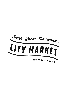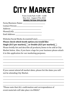Town Creek Park 8 AM - 11AM May 21st - August 27th, 2022 Grower/Artisan Application

| Farm/Business Name: |  |
|---------------------|--|
| Contact Person:     |  |
| Address:            |  |
| Phone(Cell): __     |  |
| Emil Address:       |  |
|                     |  |

Website/Social Media Accounts(if any):\_\_\_\_\_\_\_\_\_\_\_\_\_\_\_\_\_\_\_\_\_\_

**Please check which booth option you would like:** 

**Single (\$15 per market) or Double (\$25 per market)**

Please briefly list and describe all products/items to be sold at City Market below. Also, if you have a logo for your business please attach it to this application for our marketing purposes.

\_\_\_\_\_\_\_\_\_\_\_\_\_\_\_\_\_\_\_\_\_\_\_\_\_\_\_\_\_\_\_\_\_\_\_\_\_\_\_\_\_\_\_\_\_\_\_\_\_\_\_\_\_\_\_\_\_\_\_\_\_\_\_\_\_\_\_\_\_\_\_\_\_\_\_\_\_

\_\_\_\_\_\_\_\_\_\_\_\_\_\_\_\_\_\_\_\_\_\_\_\_\_\_\_\_\_\_\_\_\_\_\_\_\_\_\_\_\_\_\_\_\_\_\_\_\_\_\_\_\_\_\_\_\_\_\_\_\_\_\_\_\_\_\_\_\_\_\_\_\_\_\_\_\_\_\_

\_\_\_\_\_\_\_\_\_\_\_\_\_\_\_\_\_\_\_\_\_\_\_\_\_\_\_\_\_\_\_\_\_\_\_\_\_\_\_\_\_\_\_\_\_\_\_\_\_\_\_\_\_\_\_\_\_\_\_\_\_\_\_\_\_\_\_\_\_\_\_\_\_\_\_\_\_\_\_\_

\_\_\_\_\_\_\_\_\_\_\_\_\_\_\_\_\_\_\_\_\_\_\_\_\_\_\_\_\_\_\_\_\_\_\_\_\_\_\_\_\_\_\_\_\_\_\_\_\_\_\_\_\_\_\_\_\_\_\_\_\_\_\_\_\_\_\_\_\_\_\_\_\_\_\_\_\_\_\_\_

\_\_\_\_\_\_\_\_\_\_\_\_\_\_\_\_\_\_\_\_\_\_\_\_\_\_\_\_\_\_\_\_\_\_\_\_\_\_\_\_\_\_\_\_\_\_\_\_\_\_\_\_\_\_\_\_\_\_\_\_\_\_\_\_\_\_\_\_\_\_\_\_\_\_\_\_\_\_\_\_ If you cannot attend all market dates, please list the dates you will not be attending City Market.

\_\_\_\_\_\_\_\_\_\_\_\_\_\_\_\_\_\_\_\_\_\_\_\_\_\_\_\_\_\_\_\_\_\_\_\_\_\_\_\_\_\_\_\_\_\_\_\_\_\_\_\_\_\_\_\_\_\_\_\_\_\_\_\_\_\_\_\_\_\_\_\_\_\_\_\_\_\_\_\_

\_\_\_\_\_\_\_\_\_\_\_\_\_\_\_\_\_\_\_\_\_\_\_\_\_\_\_\_\_\_\_\_\_\_\_\_\_\_\_\_\_\_\_\_\_\_\_\_\_\_\_\_\_\_\_\_\_\_\_\_\_\_\_\_\_\_\_\_\_\_\_\_\_\_\_\_\_\_\_\_

\_\_\_\_\_\_\_\_\_\_\_\_\_\_\_\_\_\_\_\_\_\_\_\_\_\_\_\_\_\_\_\_\_\_\_\_\_\_\_\_\_\_\_\_\_\_\_\_\_\_\_\_\_\_\_\_\_\_\_\_\_\_\_\_\_\_\_\_\_\_\_\_\_\_\_\_\_\_\_\_

\_\_\_\_\_\_\_\_\_\_\_\_\_\_\_\_\_\_\_\_\_\_\_\_\_\_\_\_\_\_\_\_\_\_\_\_\_\_\_\_\_\_\_\_\_\_\_\_\_\_\_\_\_\_\_\_\_\_\_\_\_\_\_\_\_\_\_\_\_\_\_\_\_\_\_\_\_\_\_\_ \*Please note that ALL confirmation and correspondence of event materials will take place via EMAIL\*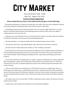### Town Creek Park 8 AM - 11AM

May 21st - August 27th, 2022

#### **Grower/Artisan Application**

#### **Please initial that you have read, understand and agree to the following:**

\_\_ All market participants are required to provide their own table, chairs and other equipment required to sell their products, including extension cords. All tents must be solid white.

If submitting a logo, growers/artisans grant the city a non-exclusive right and license to use said logo for City Market advertisement and marketing purposes and that vendor waives any rights to compensation for such use by the city.

\_\_\_ All growers are to provide their Grower's Permit by the first market to be kept on file by the Market Coordinator. All produce must be grown by the participating farmer.

\_\_\_ All artisans/bakers are required to follow the City of Auburn business license policy.

\_\_\_ Every grower must have a sign identifying the name and location of the farm or business.

\_\_\_ All crafts must be wholly made by the vendor; no "kits" reselling is permitted.

\_\_\_Food items that are home processed and meet the Alabama Farmer's Market Authority definition of non-potentially hazardous goods may also be represented at the market. Home processed products must satisfy all public health, labeling, permitting and other requirements pertaining to processed products.

Due to space limitations, all applications are subject to approval. Submission of a vendor application does not guarantee a vendor spot. Confirmation emails will be sent to farmers by Jan. 31, 2022 and artisans by Feb. 28, 2022. Incomplete applications and/or those without proper documentation will not be reviewed.

There is a \$15 booth fee per market day or a \$170 booth season fee for a single booth. There is a \$25 booth fee per market day or a \$230 booth season fee for a double booth for the 2022 City Market season. This must be paid to the Market Coordinator at the end of each market. If paying for the season, fee must be paid by the first market. Cash or check only. Checks must be made out to Auburn Advisory Board.

\_\_\_ All vendors must arrive no later than 7:20 AM on market day and be ready to do business when the market opens at 8 AM.

\_\_\_ Vendors have read and agreed to all policies in the City Market Handbook.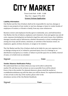Town Creek Park - 8 AM - 11AM May 21st - August 27th, 2022 **Grower/Artisan Application**

#### **Liability Information:**

City Market and the City of Auburn shall not be responsible for any loss, damage or injury to any property of any vendor or any loss, damage or injury to vendor booths of employees of vendors, or friends or family, from any cause whatsoever.

Business owners and employees hereby agree to indemnify, save, and hold harmless City Market, the City of Auburn, employees and volunteers, from and against any and all costs, expenses (including but not limited to legal fees and costs), losses, fees, liabilities, damages, lawsuits and/or deficiencies, whether threatened or actual, resulting from or arising out of any and all actions, omissions, or activities of the business owner, its employees, agents, invitees, licensees, or assigns or its vendors.

The City Market and the City of Auburn shall not be liable for any cost, expenses, loss, or damage arising out of, or related to, personal injury; loss of, or damage to, or distribution of property as a vendor; or failure to provide space for an exhibit, removal of same, or to hold event as scheduled

Signed: \_\_\_\_\_\_\_\_\_\_\_\_\_\_\_\_\_\_\_\_\_\_\_\_\_\_\_\_ Date: \_\_\_\_\_\_\_

#### **Vendor Absence Notification Policy:**

We understand there are times when you may not be able to attend the market. We ask that you let us know as soon as possible if you will be absent from or late to the market. For planned absences, please email the market at scook@auburnalabama.org with the dates you will be absent. For unplanned absences or late arrivals on the day of the market, please refer to the attendance section of the City Market Handbook.

| Signed: | $. \textcolor{red}{\textbf{10}} \textcolor{red}{\textbf{-10}} \textcolor{red}{\textbf{-1}}$ |
|---------|---------------------------------------------------------------------------------------------|
|         |                                                                                             |